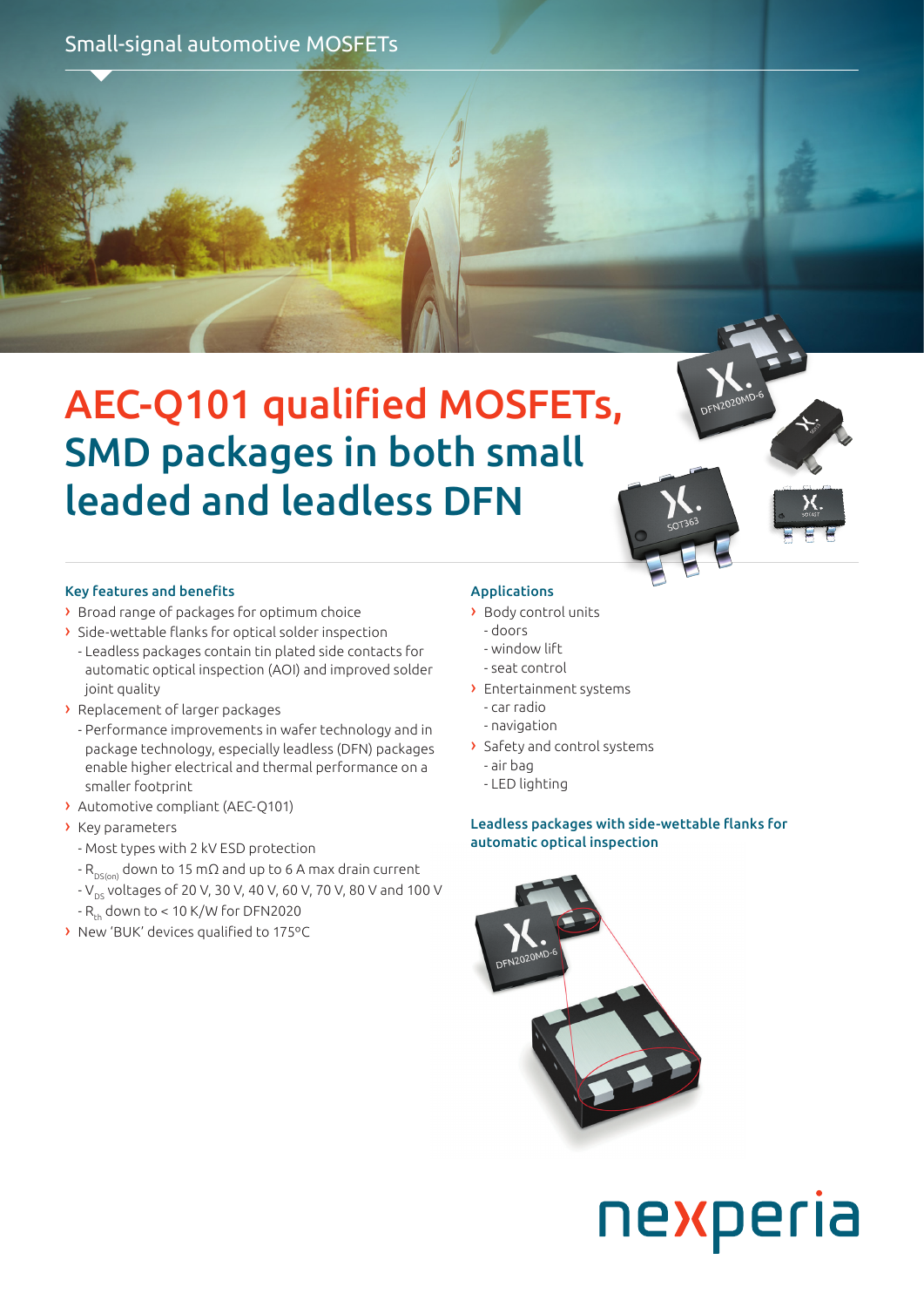Small-signal automotive MOSFETs

# AEC-Q101 qualified MOSFETs, SMD packages in both small leaded and leadless DFN

### Key features and benefits

- › Broad range of packages for optimum choice
- › Side-wettable flanks for optical solder inspection - Leadless packages contain tin plated side contacts for automatic optical inspection (AOI) and improved solder joint quality
- › Replacement of larger packages
	- Performance improvements in wafer technology and in package technology, especially leadless (DFN) packages enable higher electrical and thermal performance on a smaller footprint
- › Automotive compliant (AEC-Q101)
- › Key parameters
	- Most types with 2 kV ESD protection
	- $-R_{DSS(0)}$  down to 15 mΩ and up to 6 A max drain current
	- V<sub>DS</sub> voltages of 20 V, 30 V, 40 V, 60 V, 70 V, 80 V and 100 V
	- $-R_{th}$  down to  $< 10$  K/W for DFN2020
- › New 'BUK' devices qualified to 175ºC

## Applications

- › Body control units
- doors
- window lift
- seat control
- › Entertainment systems
	- car radio
	- navigation
- › Safety and control systems
	- air bag
	- LED lighting

Leadless packages with side-wettable flanks for automatic optical inspection

nexperia